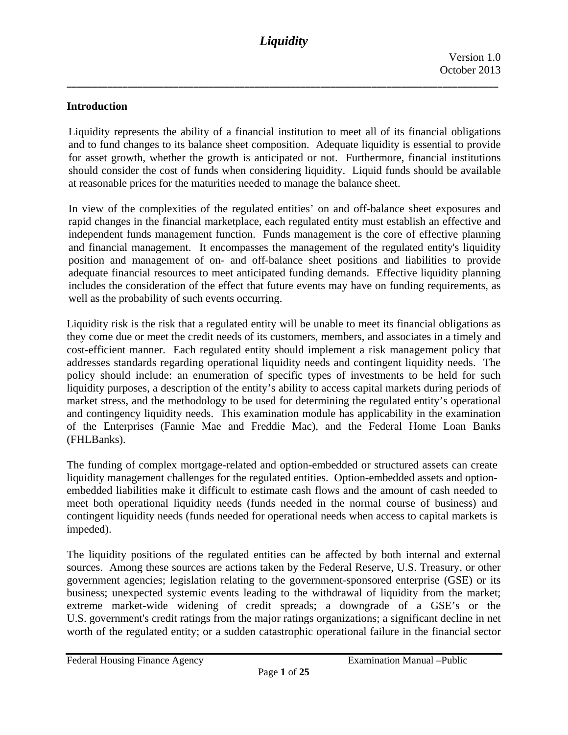### **Introduction**

Liquidity represents the ability of a financial institution to meet all of its financial obligations and to fund changes to its balance sheet composition. Adequate liquidity is essential to provide for asset growth, whether the growth is anticipated or not. Furthermore, financial institutions should consider the cost of funds when considering liquidity. Liquid funds should be available at reasonable prices for the maturities needed to manage the balance sheet.

In view of the complexities of the regulated entities' on and off-balance sheet exposures and rapid changes in the financial marketplace, each regulated entity must establish an effective and independent funds management function. Funds management is the core of effective planning and financial management. It encompasses the management of the regulated entity's liquidity position and management of on- and off-balance sheet positions and liabilities to provide adequate financial resources to meet anticipated funding demands. Effective liquidity planning includes the consideration of the effect that future events may have on funding requirements, as well as the probability of such events occurring.

Liquidity risk is the risk that a regulated entity will be unable to meet its financial obligations as they come due or meet the credit needs of its customers, members, and associates in a timely and cost-efficient manner. Each regulated entity should implement a risk management policy that addresses standards regarding operational liquidity needs and contingent liquidity needs. The policy should include: an enumeration of specific types of investments to be held for such liquidity purposes, a description of the entity's ability to access capital markets during periods of market stress, and the methodology to be used for determining the regulated entity's operational and contingency liquidity needs. This examination module has applicability in the examination of the Enterprises (Fannie Mae and Freddie Mac), and the Federal Home Loan Banks (FHLBanks).

The funding of complex mortgage-related and option-embedded or structured assets can create liquidity management challenges for the regulated entities. Option-embedded assets and optionembedded liabilities make it difficult to estimate cash flows and the amount of cash needed to meet both operational liquidity needs (funds needed in the normal course of business) and contingent liquidity needs (funds needed for operational needs when access to capital markets is impeded).

The liquidity positions of the regulated entities can be affected by both internal and external sources. Among these sources are actions taken by the Federal Reserve, U.S. Treasury, or other government agencies; legislation relating to the government-sponsored enterprise (GSE) or its business; unexpected systemic events leading to the withdrawal of liquidity from the market; extreme market-wide widening of credit spreads; a downgrade of a GSE's or the U.S. government's credit ratings from the major ratings organizations; a significant decline in net worth of the regulated entity; or a sudden catastrophic operational failure in the financial sector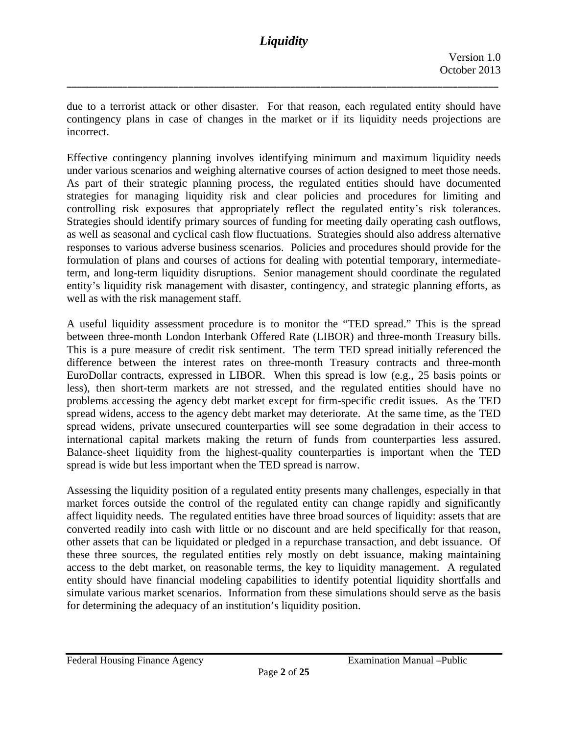due to a terrorist attack or other disaster. For that reason, each regulated entity should have contingency plans in case of changes in the market or if its liquidity needs projections are incorrect.

**\_\_\_\_\_\_\_\_\_\_\_\_\_\_\_\_\_\_\_\_\_\_\_\_\_\_\_\_\_\_\_\_\_\_\_\_\_\_\_\_\_\_\_\_\_\_\_\_\_\_\_\_\_\_\_\_\_\_\_\_\_\_\_\_\_\_\_\_\_\_\_\_\_\_\_\_\_\_\_\_\_\_\_\_\_**

 responses to various adverse business scenarios. Policies and procedures should provide for the Effective contingency planning involves identifying minimum and maximum liquidity needs under various scenarios and weighing alternative courses of action designed to meet those needs. As part of their strategic planning process, the regulated entities should have documented strategies for managing liquidity risk and clear policies and procedures for limiting and controlling risk exposures that appropriately reflect the regulated entity's risk tolerances. Strategies should identify primary sources of funding for meeting daily operating cash outflows, as well as seasonal and cyclical cash flow fluctuations. Strategies should also address alternative formulation of plans and courses of actions for dealing with potential temporary, intermediateterm, and long-term liquidity disruptions. Senior management should coordinate the regulated entity's liquidity risk management with disaster, contingency, and strategic planning efforts, as well as with the risk management staff.

A useful liquidity assessment procedure is to monitor the "TED spread." This is the spread between three-month London Interbank Offered Rate (LIBOR) and three-month Treasury bills. This is a pure measure of credit risk sentiment. The term TED spread initially referenced the difference between the interest rates on three-month Treasury contracts and three-month EuroDollar contracts, expressed in LIBOR. When this spread is low (e.g., 25 basis points or less), then short-term markets are not stressed, and the regulated entities should have no problems accessing the agency debt market except for firm-specific credit issues. As the TED spread widens, access to the agency debt market may deteriorate. At the same time, as the TED spread widens, private unsecured counterparties will see some degradation in their access to international capital markets making the return of funds from counterparties less assured. Balance-sheet liquidity from the highest-quality counterparties is important when the TED spread is wide but less important when the TED spread is narrow.

Assessing the liquidity position of a regulated entity presents many challenges, especially in that market forces outside the control of the regulated entity can change rapidly and significantly affect liquidity needs. The regulated entities have three broad sources of liquidity: assets that are converted readily into cash with little or no discount and are held specifically for that reason, other assets that can be liquidated or pledged in a repurchase transaction, and debt issuance. Of these three sources, the regulated entities rely mostly on debt issuance, making maintaining access to the debt market, on reasonable terms, the key to liquidity management. A regulated entity should have financial modeling capabilities to identify potential liquidity shortfalls and simulate various market scenarios. Information from these simulations should serve as the basis for determining the adequacy of an institution's liquidity position.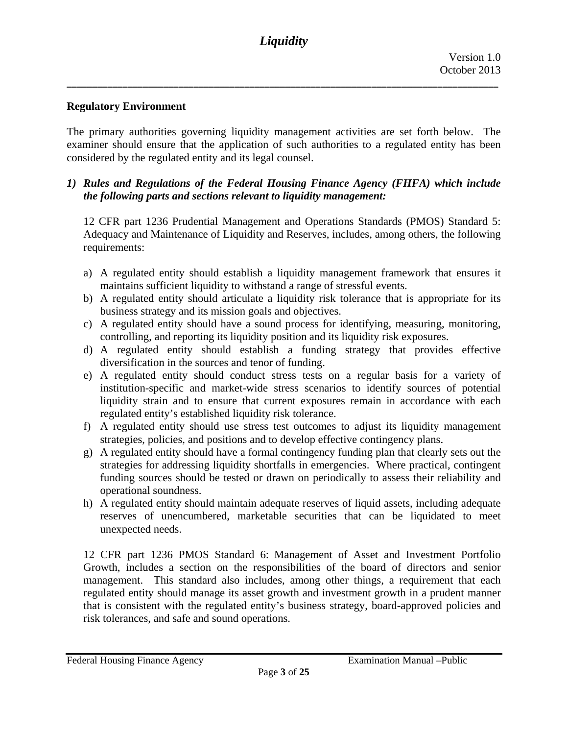# **Regulatory Environment**

The primary authorities governing liquidity management activities are set forth below. The examiner should ensure that the application of such authorities to a regulated entity has been considered by the regulated entity and its legal counsel.

### *1) Rules and Regulations of the Federal Housing Finance Agency (FHFA) which include the following parts and sections relevant to liquidity management:*

12 CFR part 1236 Prudential Management and Operations Standards (PMOS) Standard 5: Adequacy and Maintenance of Liquidity and Reserves, includes, among others, the following requirements:

- a) A regulated entity should establish a liquidity management framework that ensures it maintains sufficient liquidity to withstand a range of stressful events.
- b) A regulated entity should articulate a liquidity risk tolerance that is appropriate for its business strategy and its mission goals and objectives.
- c) A regulated entity should have a sound process for identifying, measuring, monitoring, controlling, and reporting its liquidity position and its liquidity risk exposures.
- d) A regulated entity should establish a funding strategy that provides effective diversification in the sources and tenor of funding.
- e) A regulated entity should conduct stress tests on a regular basis for a variety of institution-specific and market-wide stress scenarios to identify sources of potential liquidity strain and to ensure that current exposures remain in accordance with each regulated entity's established liquidity risk tolerance.
- f) A regulated entity should use stress test outcomes to adjust its liquidity management strategies, policies, and positions and to develop effective contingency plans.
- g) A regulated entity should have a formal contingency funding plan that clearly sets out the strategies for addressing liquidity shortfalls in emergencies. Where practical, contingent funding sources should be tested or drawn on periodically to assess their reliability and operational soundness.
- h) A regulated entity should maintain adequate reserves of liquid assets, including adequate reserves of unencumbered, marketable securities that can be liquidated to meet unexpected needs.

12 CFR part 1236 PMOS Standard 6: Management of Asset and Investment Portfolio Growth, includes a section on the responsibilities of the board of directors and senior management. This standard also includes, among other things, a requirement that each regulated entity should manage its asset growth and investment growth in a prudent manner that is consistent with the regulated entity's business strategy, board-approved policies and risk tolerances, and safe and sound operations.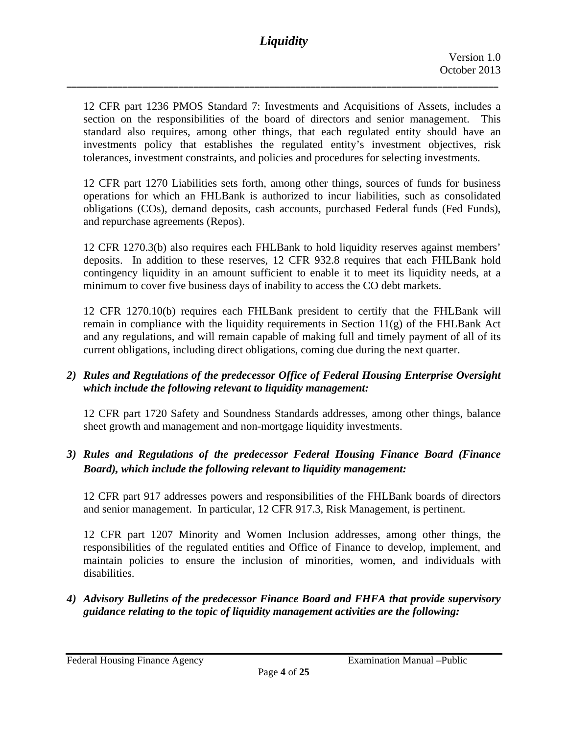12 CFR part 1236 PMOS Standard 7: Investments and Acquisitions of Assets, includes a section on the responsibilities of the board of directors and senior management. This standard also requires, among other things, that each regulated entity should have an investments policy that establishes the regulated entity's investment objectives, risk tolerances, investment constraints, and policies and procedures for selecting investments.

12 CFR part 1270 Liabilities sets forth, among other things, sources of funds for business operations for which an FHLBank is authorized to incur liabilities, such as consolidated obligations (COs), demand deposits, cash accounts, purchased Federal funds (Fed Funds), and repurchase agreements (Repos).

12 CFR 1270.3(b) also requires each FHLBank to hold liquidity reserves against members' deposits. In addition to these reserves, 12 CFR 932.8 requires that each FHLBank hold contingency liquidity in an amount sufficient to enable it to meet its liquidity needs, at a minimum to cover five business days of inability to access the CO debt markets.

12 CFR 1270.10(b) requires each FHLBank president to certify that the FHLBank will remain in compliance with the liquidity requirements in Section 11(g) of the FHLBank Act and any regulations, and will remain capable of making full and timely payment of all of its current obligations, including direct obligations, coming due during the next quarter.

# *2) Rules and Regulations of the predecessor Office of Federal Housing Enterprise Oversight which include the following relevant to liquidity management:*

12 CFR part 1720 Safety and Soundness Standards addresses, among other things, balance sheet growth and management and non-mortgage liquidity investments.

# *3) Rules and Regulations of the predecessor Federal Housing Finance Board (Finance Board), which include the following relevant to liquidity management:*

12 CFR part 917 addresses powers and responsibilities of the FHLBank boards of directors and senior management. In particular, 12 CFR 917.3, Risk Management, is pertinent.

12 CFR part 1207 Minority and Women Inclusion addresses, among other things, the responsibilities of the regulated entities and Office of Finance to develop, implement, and maintain policies to ensure the inclusion of minorities, women, and individuals with disabilities.

*4) Advisory Bulletins of the predecessor Finance Board and FHFA that provide supervisory guidance relating to the topic of liquidity management activities are the following:*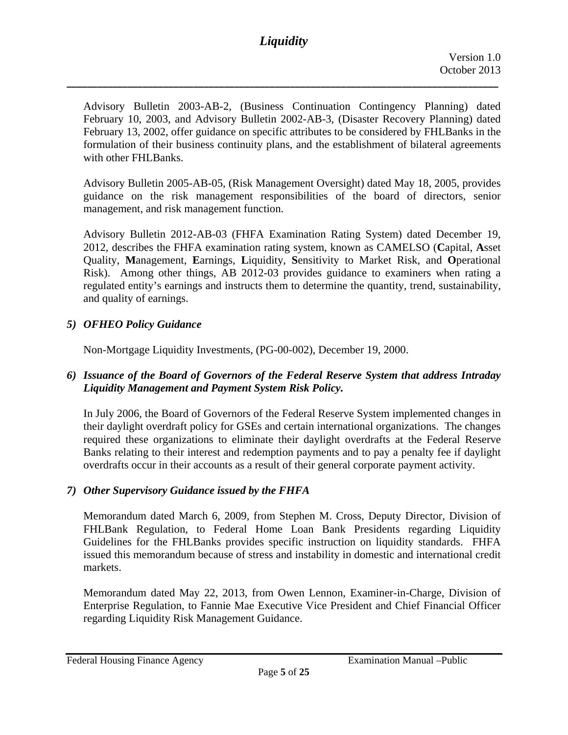**\_\_\_\_\_\_\_\_\_\_\_\_\_\_\_\_\_\_\_\_\_\_\_\_\_\_\_\_\_\_\_\_\_\_\_\_\_\_\_\_\_\_\_\_\_\_\_\_\_\_\_\_\_\_\_\_\_\_\_\_\_\_\_\_\_\_\_\_\_\_\_\_\_\_\_\_\_\_\_\_\_\_\_\_\_**

Advisory Bulletin 2003-AB-2, (Business Continuation Contingency Planning) dated February 10, 2003, and Advisory Bulletin 2002-AB-3, (Disaster Recovery Planning) dated February 13, 2002, offer guidance on specific attributes to be considered by FHLBanks in the formulation of their business continuity plans, and the establishment of bilateral agreements with other FHLBanks.

Advisory Bulletin 2005-AB-05, (Risk Management Oversight) dated May 18, 2005, provides guidance on the risk management responsibilities of the board of directors, senior management, and risk management function.

Advisory Bulletin 2012-AB-03 (FHFA Examination Rating System) dated December 19, 2012, describes the FHFA examination rating system, known as CAMELSO (**C**apital, **A**sset Quality, **M**anagement, **E**arnings, **L**iquidity, **S**ensitivity to Market Risk, and **O**perational Risk). Among other things, AB 2012-03 provides guidance to examiners when rating a regulated entity's earnings and instructs them to determine the quantity, trend, sustainability, and quality of earnings.

# *5) OFHEO Policy Guidance*

Non-Mortgage Liquidity Investments, (PG-00-002), December 19, 2000.

### *6) Issuance of the Board of Governors of the Federal Reserve System that address Intraday Liquidity Management and Payment System Risk Policy.*

In July 2006, the Board of Governors of the Federal Reserve System implemented changes in their daylight overdraft policy for GSEs and certain international organizations. The changes required these organizations to eliminate their daylight overdrafts at the Federal Reserve Banks relating to their interest and redemption payments and to pay a penalty fee if daylight overdrafts occur in their accounts as a result of their general corporate payment activity.

#### *7) Other Supervisory Guidance issued by the FHFA*

Memorandum dated March 6, 2009, from Stephen M. Cross, Deputy Director, Division of FHLBank Regulation, to Federal Home Loan Bank Presidents regarding Liquidity Guidelines for the FHLBanks provides specific instruction on liquidity standards. FHFA issued this memorandum because of stress and instability in domestic and international credit markets.

Memorandum dated May 22, 2013, from Owen Lennon, Examiner-in-Charge, Division of Enterprise Regulation, to Fannie Mae Executive Vice President and Chief Financial Officer regarding Liquidity Risk Management Guidance.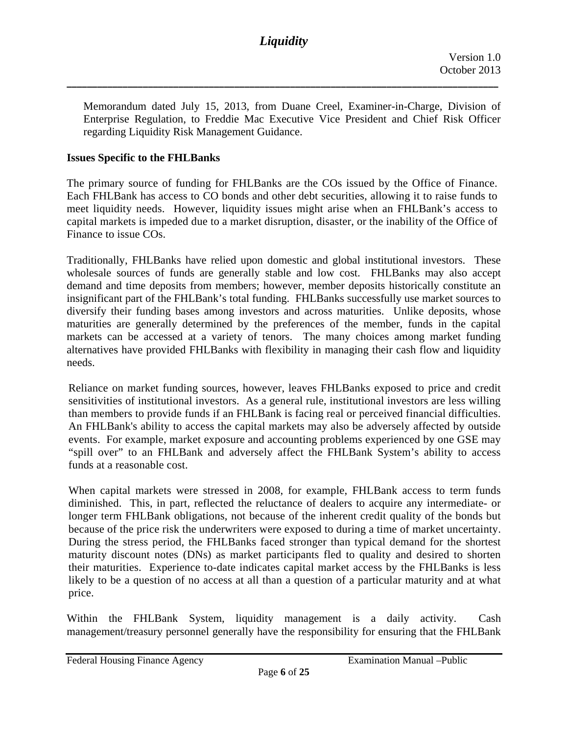Memorandum dated July 15, 2013, from Duane Creel, Examiner-in-Charge, Division of Enterprise Regulation, to Freddie Mac Executive Vice President and Chief Risk Officer regarding Liquidity Risk Management Guidance.

# **Issues Specific to the FHLBanks**

Finance to issue COs. The primary source of funding for FHLBanks are the COs issued by the Office of Finance. Each FHLBank has access to CO bonds and other debt securities, allowing it to raise funds to meet liquidity needs. However, liquidity issues might arise when an FHLBank's access to capital markets is impeded due to a market disruption, disaster, or the inability of the Office of

Traditionally, FHLBanks have relied upon domestic and global institutional investors. These wholesale sources of funds are generally stable and low cost. FHLBanks may also accept demand and time deposits from members; however, member deposits historically constitute an insignificant part of the FHLBank's total funding. FHLBanks successfully use market sources to diversify their funding bases among investors and across maturities. Unlike deposits, whose maturities are generally determined by the preferences of the member, funds in the capital markets can be accessed at a variety of tenors. The many choices among market funding alternatives have provided FHLBanks with flexibility in managing their cash flow and liquidity needs.

Reliance on market funding sources, however, leaves FHLBanks exposed to price and credit sensitivities of institutional investors. As a general rule, institutional investors are less willing than members to provide funds if an FHLBank is facing real or perceived financial difficulties. An FHLBank's ability to access the capital markets may also be adversely affected by outside events. For example, market exposure and accounting problems experienced by one GSE may "spill over" to an FHLBank and adversely affect the FHLBank System's ability to access funds at a reasonable cost.

because of the price risk the underwriters were exposed to during a time of market uncertainty. When capital markets were stressed in 2008, for example, FHLBank access to term funds diminished. This, in part, reflected the reluctance of dealers to acquire any intermediate- or longer term FHLBank obligations, not because of the inherent credit quality of the bonds but During the stress period, the FHLBanks faced stronger than typical demand for the shortest maturity discount notes (DNs) as market participants fled to quality and desired to shorten their maturities. Experience to-date indicates capital market access by the FHLBanks is less likely to be a question of no access at all than a question of a particular maturity and at what price.

Within the FHLBank System, liquidity management is a daily activity. Cash management/treasury personnel generally have the responsibility for ensuring that the FHLBank

Federal Housing Finance Agency **Examination Manual** – Public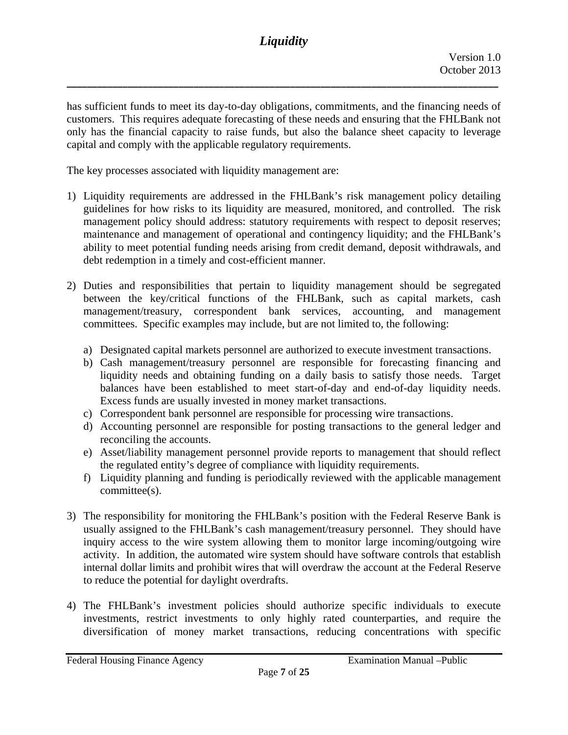has sufficient funds to meet its day-to-day obligations, commitments, and the financing needs of customers. This requires adequate forecasting of these needs and ensuring that the FHLBank not only has the financial capacity to raise funds, but also the balance sheet capacity to leverage capital and comply with the applicable regulatory requirements.

The key processes associated with liquidity management are:

- 1) Liquidity requirements are addressed in the FHLBank's risk management policy detailing guidelines for how risks to its liquidity are measured, monitored, and controlled. The risk management policy should address: statutory requirements with respect to deposit reserves; maintenance and management of operational and contingency liquidity; and the FHLBank's ability to meet potential funding needs arising from credit demand, deposit withdrawals, and debt redemption in a timely and cost-efficient manner.
- 2) Duties and responsibilities that pertain to liquidity management should be segregated between the key/critical functions of the FHLBank, such as capital markets, cash management/treasury, correspondent bank services, accounting, and management committees. Specific examples may include, but are not limited to, the following:
	- a) Designated capital markets personnel are authorized to execute investment transactions.
	- b) Cash management/treasury personnel are responsible for forecasting financing and liquidity needs and obtaining funding on a daily basis to satisfy those needs. Target balances have been established to meet start-of-day and end-of-day liquidity needs. Excess funds are usually invested in money market transactions.
	- c) Correspondent bank personnel are responsible for processing wire transactions.
	- d) Accounting personnel are responsible for posting transactions to the general ledger and reconciling the accounts.
	- e) Asset/liability management personnel provide reports to management that should reflect the regulated entity's degree of compliance with liquidity requirements.
	- f) Liquidity planning and funding is periodically reviewed with the applicable management committee(s).
- 3) The responsibility for monitoring the FHLBank's position with the Federal Reserve Bank is usually assigned to the FHLBank's cash management/treasury personnel. They should have inquiry access to the wire system allowing them to monitor large incoming/outgoing wire activity. In addition, the automated wire system should have software controls that establish internal dollar limits and prohibit wires that will overdraw the account at the Federal Reserve to reduce the potential for daylight overdrafts.
- 4) The FHLBank's investment policies should authorize specific individuals to execute investments, restrict investments to only highly rated counterparties, and require the diversification of money market transactions, reducing concentrations with specific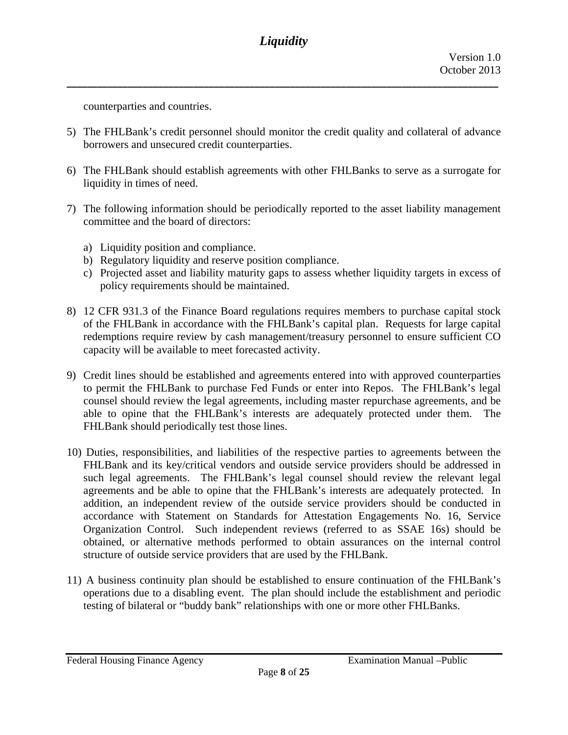**\_\_\_\_\_\_\_\_\_\_\_\_\_\_\_\_\_\_\_\_\_\_\_\_\_\_\_\_\_\_\_\_\_\_\_\_\_\_\_\_\_\_\_\_\_\_\_\_\_\_\_\_\_\_\_\_\_\_\_\_\_\_\_\_\_\_\_\_\_\_\_\_\_\_\_\_\_\_\_\_\_\_\_\_\_**

counterparties and countries.

- 5) The FHLBank's credit personnel should monitor the credit quality and collateral of advance borrowers and unsecured credit counterparties.
- 6) The FHLBank should establish agreements with other FHLBanks to serve as a surrogate for liquidity in times of need.
- 7) The following information should be periodically reported to the asset liability management committee and the board of directors:
	- a) Liquidity position and compliance.
	- b) Regulatory liquidity and reserve position compliance.
	- c) Projected asset and liability maturity gaps to assess whether liquidity targets in excess of policy requirements should be maintained.
- 8) 12 CFR 931.3 of the Finance Board regulations requires members to purchase capital stock of the FHLBank in accordance with the FHLBank's capital plan. Requests for large capital redemptions require review by cash management/treasury personnel to ensure sufficient CO capacity will be available to meet forecasted activity.
- 9) Credit lines should be established and agreements entered into with approved counterparties to permit the FHLBank to purchase Fed Funds or enter into Repos. The FHLBank's legal counsel should review the legal agreements, including master repurchase agreements, and be able to opine that the FHLBank's interests are adequately protected under them. The FHLBank should periodically test those lines.
- 10) Duties, responsibilities, and liabilities of the respective parties to agreements between the FHLBank and its key/critical vendors and outside service providers should be addressed in such legal agreements. The FHLBank's legal counsel should review the relevant legal agreements and be able to opine that the FHLBank's interests are adequately protected. In addition, an independent review of the outside service providers should be conducted in accordance with Statement on Standards for Attestation Engagements No. 16, Service Organization Control. Such independent reviews (referred to as SSAE 16s) should be obtained, or alternative methods performed to obtain assurances on the internal control structure of outside service providers that are used by the FHLBank.
- 11) A business continuity plan should be established to ensure continuation of the FHLBank's operations due to a disabling event. The plan should include the establishment and periodic testing of bilateral or "buddy bank" relationships with one or more other FHLBanks.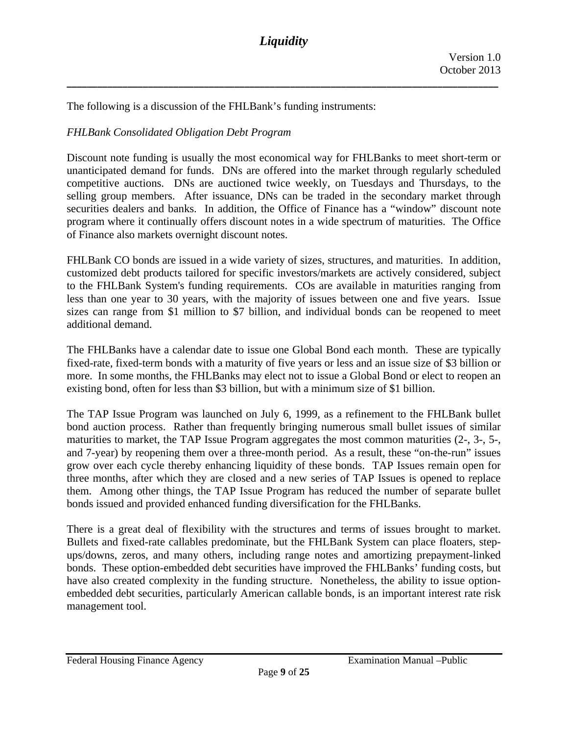**\_\_\_\_\_\_\_\_\_\_\_\_\_\_\_\_\_\_\_\_\_\_\_\_\_\_\_\_\_\_\_\_\_\_\_\_\_\_\_\_\_\_\_\_\_\_\_\_\_\_\_\_\_\_\_\_\_\_\_\_\_\_\_\_\_\_\_\_\_\_\_\_\_\_\_\_\_\_\_\_\_\_\_\_\_**

The following is a discussion of the FHLBank's funding instruments:

# *FHLBank Consolidated Obligation Debt Program*

Discount note funding is usually the most economical way for FHLBanks to meet short-term or unanticipated demand for funds. DNs are offered into the market through regularly scheduled competitive auctions. DNs are auctioned twice weekly, on Tuesdays and Thursdays, to the selling group members. After issuance, DNs can be traded in the secondary market through securities dealers and banks. In addition, the Office of Finance has a "window" discount note program where it continually offers discount notes in a wide spectrum of maturities. The Office of Finance also markets overnight discount notes.

FHLBank CO bonds are issued in a wide variety of sizes, structures, and maturities. In addition, customized debt products tailored for specific investors/markets are actively considered, subject to the FHLBank System's funding requirements. COs are available in maturities ranging from less than one year to 30 years, with the majority of issues between one and five years. Issue sizes can range from \$1 million to \$7 billion, and individual bonds can be reopened to meet additional demand.

The FHLBanks have a calendar date to issue one Global Bond each month. These are typically fixed-rate, fixed-term bonds with a maturity of five years or less and an issue size of \$3 billion or more. In some months, the FHLBanks may elect not to issue a Global Bond or elect to reopen an existing bond, often for less than \$3 billion, but with a minimum size of \$1 billion.

The TAP Issue Program was launched on July 6, 1999, as a refinement to the FHLBank bullet bond auction process. Rather than frequently bringing numerous small bullet issues of similar maturities to market, the TAP Issue Program aggregates the most common maturities (2-, 3-, 5-, and 7-year) by reopening them over a three-month period. As a result, these "on-the-run" issues grow over each cycle thereby enhancing liquidity of these bonds. TAP Issues remain open for three months, after which they are closed and a new series of TAP Issues is opened to replace them. Among other things, the TAP Issue Program has reduced the number of separate bullet bonds issued and provided enhanced funding diversification for the FHLBanks.

There is a great deal of flexibility with the structures and terms of issues brought to market. Bullets and fixed-rate callables predominate, but the FHLBank System can place floaters, stepups/downs, zeros, and many others, including range notes and amortizing prepayment-linked bonds. These option-embedded debt securities have improved the FHLBanks' funding costs, but have also created complexity in the funding structure. Nonetheless, the ability to issue optionembedded debt securities, particularly American callable bonds, is an important interest rate risk management tool.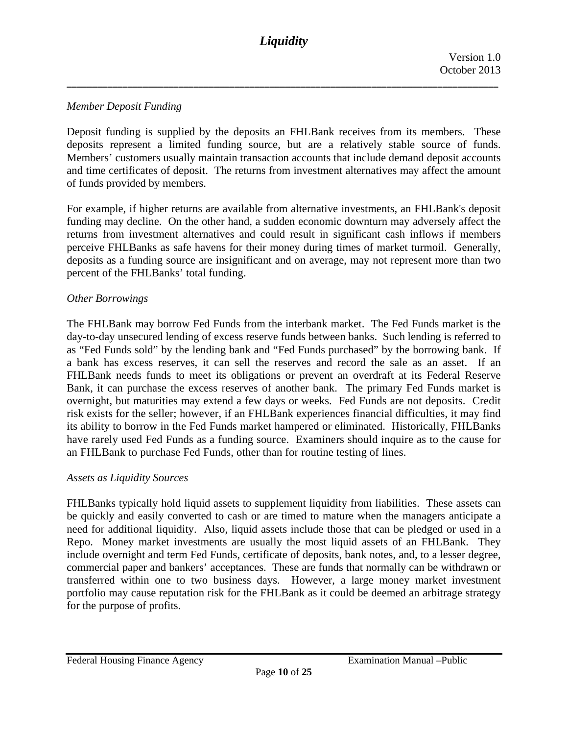# *Member Deposit Funding*

Deposit funding is supplied by the deposits an FHLBank receives from its members. These deposits represent a limited funding source, but are a relatively stable source of funds. Members' customers usually maintain transaction accounts that include demand deposit accounts and time certificates of deposit. The returns from investment alternatives may affect the amount of funds provided by members.

For example, if higher returns are available from alternative investments, an FHLBank's deposit funding may decline. On the other hand, a sudden economic downturn may adversely affect the returns from investment alternatives and could result in significant cash inflows if members perceive FHLBanks as safe havens for their money during times of market turmoil. Generally, deposits as a funding source are insignificant and on average, may not represent more than two percent of the FHLBanks' total funding.

### *Other Borrowings*

The FHLBank may borrow Fed Funds from the interbank market. The Fed Funds market is the day-to-day unsecured lending of excess reserve funds between banks. Such lending is referred to as "Fed Funds sold" by the lending bank and "Fed Funds purchased" by the borrowing bank. If a bank has excess reserves, it can sell the reserves and record the sale as an asset. If an FHLBank needs funds to meet its obligations or prevent an overdraft at its Federal Reserve Bank, it can purchase the excess reserves of another bank. The primary Fed Funds market is overnight, but maturities may extend a few days or weeks. Fed Funds are not deposits. Credit risk exists for the seller; however, if an FHLBank experiences financial difficulties, it may find its ability to borrow in the Fed Funds market hampered or eliminated. Historically, FHLBanks have rarely used Fed Funds as a funding source. Examiners should inquire as to the cause for an FHLBank to purchase Fed Funds, other than for routine testing of lines.

#### *Assets as Liquidity Sources*

FHLBanks typically hold liquid assets to supplement liquidity from liabilities. These assets can be quickly and easily converted to cash or are timed to mature when the managers anticipate a need for additional liquidity. Also, liquid assets include those that can be pledged or used in a Repo. Money market investments are usually the most liquid assets of an FHLBank. They include overnight and term Fed Funds, certificate of deposits, bank notes, and, to a lesser degree, commercial paper and bankers' acceptances. These are funds that normally can be withdrawn or transferred within one to two business days. However, a large money market investment portfolio may cause reputation risk for the FHLBank as it could be deemed an arbitrage strategy for the purpose of profits.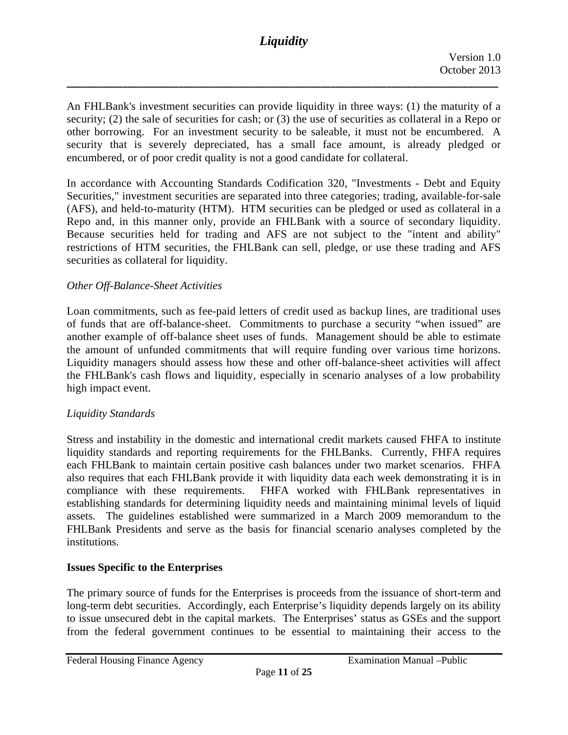**\_\_\_\_\_\_\_\_\_\_\_\_\_\_\_\_\_\_\_\_\_\_\_\_\_\_\_\_\_\_\_\_\_\_\_\_\_\_\_\_\_\_\_\_\_\_\_\_\_\_\_\_\_\_\_\_\_\_\_\_\_\_\_\_\_\_\_\_\_\_\_\_\_\_\_\_\_\_\_\_\_\_\_\_\_**

An FHLBank's investment securities can provide liquidity in three ways: (1) the maturity of a security; (2) the sale of securities for cash; or (3) the use of securities as collateral in a Repo or other borrowing. For an investment security to be saleable, it must not be encumbered. A security that is severely depreciated, has a small face amount, is already pledged or encumbered, or of poor credit quality is not a good candidate for collateral.

In accordance with Accounting Standards Codification 320, "Investments - Debt and Equity Securities," investment securities are separated into three categories; trading, available-for-sale (AFS), and held-to-maturity (HTM). HTM securities can be pledged or used as collateral in a Repo and, in this manner only, provide an FHLBank with a source of secondary liquidity. Because securities held for trading and AFS are not subject to the "intent and ability" restrictions of HTM securities, the FHLBank can sell, pledge, or use these trading and AFS securities as collateral for liquidity.

### *Other Off-Balance-Sheet Activities*

 high impact event. Loan commitments, such as fee-paid letters of credit used as backup lines, are traditional uses of funds that are off-balance-sheet. Commitments to purchase a security "when issued" are another example of off-balance sheet uses of funds. Management should be able to estimate the amount of unfunded commitments that will require funding over various time horizons. Liquidity managers should assess how these and other off-balance-sheet activities will affect the FHLBank's cash flows and liquidity, especially in scenario analyses of a low probability

# *Liquidity Standards*

Stress and instability in the domestic and international credit markets caused FHFA to institute liquidity standards and reporting requirements for the FHLBanks. Currently, FHFA requires each FHLBank to maintain certain positive cash balances under two market scenarios. FHFA also requires that each FHLBank provide it with liquidity data each week demonstrating it is in compliance with these requirements. FHFA worked with FHLBank representatives in establishing standards for determining liquidity needs and maintaining minimal levels of liquid assets. The guidelines established were summarized in a March 2009 memorandum to the FHLBank Presidents and serve as the basis for financial scenario analyses completed by the institutions.

#### **Issues Specific to the Enterprises**

The primary source of funds for the Enterprises is proceeds from the issuance of short-term and long-term debt securities. Accordingly, each Enterprise's liquidity depends largely on its ability to issue unsecured debt in the capital markets. The Enterprises' status as GSEs and the support from the federal government continues to be essential to maintaining their access to the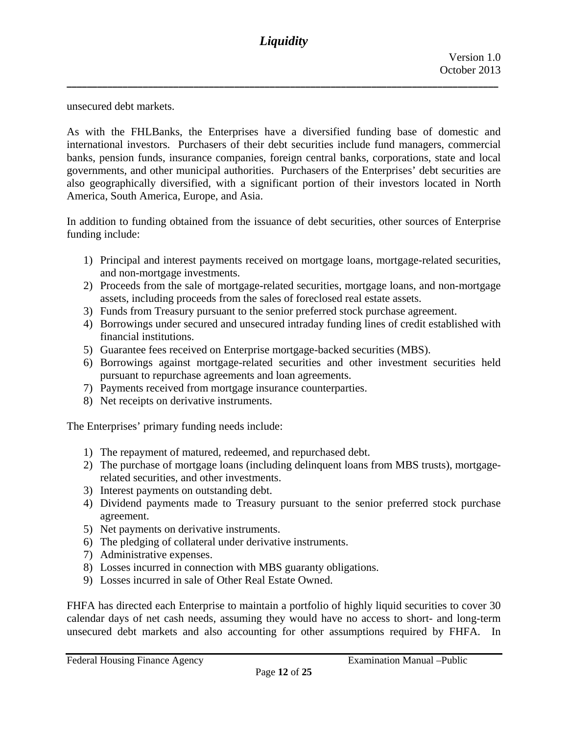unsecured debt markets.

As with the FHLBanks, the Enterprises have a diversified funding base of domestic and international investors. Purchasers of their debt securities include fund managers, commercial banks, pension funds, insurance companies, foreign central banks, corporations, state and local governments, and other municipal authorities. Purchasers of the Enterprises' debt securities are also geographically diversified, with a significant portion of their investors located in North America, South America, Europe, and Asia.

In addition to funding obtained from the issuance of debt securities, other sources of Enterprise funding include:

- 1) Principal and interest payments received on mortgage loans, mortgage-related securities, and non-mortgage investments.
- 2) Proceeds from the sale of mortgage-related securities, mortgage loans, and non-mortgage assets, including proceeds from the sales of foreclosed real estate assets.
- 3) Funds from Treasury pursuant to the senior preferred stock purchase agreement.
- 4) Borrowings under secured and unsecured intraday funding lines of credit established with financial institutions.
- 5) Guarantee fees received on Enterprise mortgage-backed securities (MBS).
- 6) Borrowings against mortgage-related securities and other investment securities held pursuant to repurchase agreements and loan agreements.
- 7) Payments received from mortgage insurance counterparties.
- 8) Net receipts on derivative instruments.

The Enterprises' primary funding needs include:

- 1) The repayment of matured, redeemed, and repurchased debt.
- 2) The purchase of mortgage loans (including delinquent loans from MBS trusts), mortgagerelated securities, and other investments.
- 3) Interest payments on outstanding debt.
- 4) Dividend payments made to Treasury pursuant to the senior preferred stock purchase agreement.
- 5) Net payments on derivative instruments.
- 6) The pledging of collateral under derivative instruments.
- 7) Administrative expenses.
- 8) Losses incurred in connection with MBS guaranty obligations.
- 9) Losses incurred in sale of Other Real Estate Owned.

FHFA has directed each Enterprise to maintain a portfolio of highly liquid securities to cover 30 calendar days of net cash needs, assuming they would have no access to short- and long-term unsecured debt markets and also accounting for other assumptions required by FHFA. In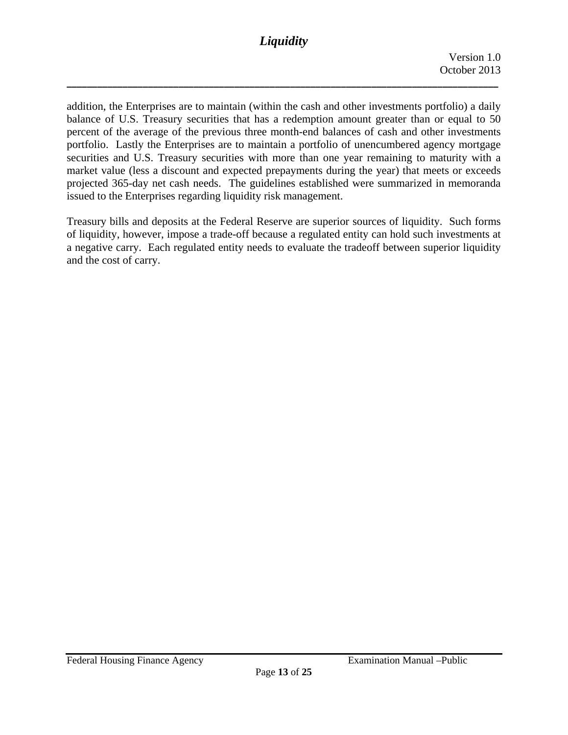**\_\_\_\_\_\_\_\_\_\_\_\_\_\_\_\_\_\_\_\_\_\_\_\_\_\_\_\_\_\_\_\_\_\_\_\_\_\_\_\_\_\_\_\_\_\_\_\_\_\_\_\_\_\_\_\_\_\_\_\_\_\_\_\_\_\_\_\_\_\_\_\_\_\_\_\_\_\_\_\_\_\_\_\_\_**

addition, the Enterprises are to maintain (within the cash and other investments portfolio) a daily balance of U.S. Treasury securities that has a redemption amount greater than or equal to 50 percent of the average of the previous three month-end balances of cash and other investments portfolio. Lastly the Enterprises are to maintain a portfolio of unencumbered agency mortgage securities and U.S. Treasury securities with more than one year remaining to maturity with a market value (less a discount and expected prepayments during the year) that meets or exceeds projected 365-day net cash needs. The guidelines established were summarized in memoranda issued to the Enterprises regarding liquidity risk management.

Treasury bills and deposits at the Federal Reserve are superior sources of liquidity. Such forms of liquidity, however, impose a trade-off because a regulated entity can hold such investments at a negative carry. Each regulated entity needs to evaluate the tradeoff between superior liquidity and the cost of carry.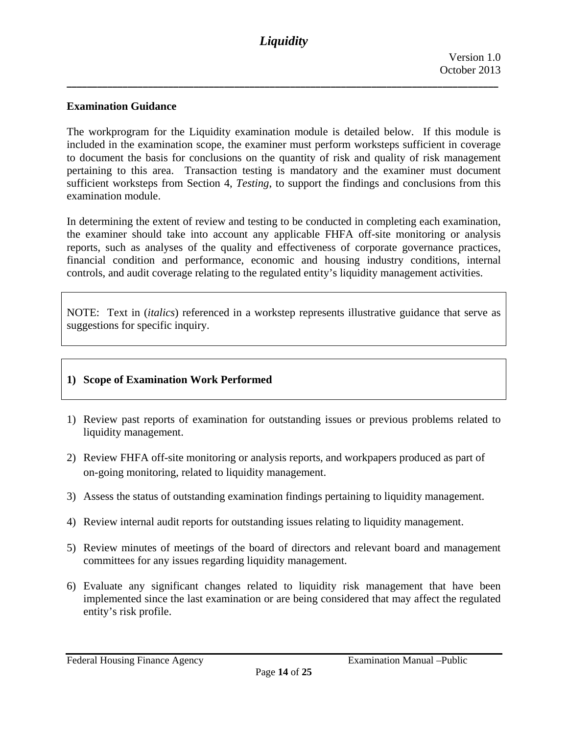### **Examination Guidance**

The workprogram for the Liquidity examination module is detailed below. If this module is included in the examination scope, the examiner must perform worksteps sufficient in coverage to document the basis for conclusions on the quantity of risk and quality of risk management pertaining to this area. Transaction testing is mandatory and the examiner must document sufficient worksteps from Section 4, *Testing*, to support the findings and conclusions from this examination module.

In determining the extent of review and testing to be conducted in completing each examination, the examiner should take into account any applicable FHFA off-site monitoring or analysis reports, such as analyses of the quality and effectiveness of corporate governance practices, financial condition and performance, economic and housing industry conditions, internal controls, and audit coverage relating to the regulated entity's liquidity management activities.

NOTE: Text in (*italics*) referenced in a workstep represents illustrative guidance that serve as suggestions for specific inquiry.

#### **1) Scope of Examination Work Performed**

- 1) Review past reports of examination for outstanding issues or previous problems related to liquidity management.
- 2) Review FHFA off-site monitoring or analysis reports, and workpapers produced as part of on-going monitoring, related to liquidity management.
- 3) Assess the status of outstanding examination findings pertaining to liquidity management.
- 4) Review internal audit reports for outstanding issues relating to liquidity management.
- 5) Review minutes of meetings of the board of directors and relevant board and management committees for any issues regarding liquidity management.
- 6) Evaluate any significant changes related to liquidity risk management that have been implemented since the last examination or are being considered that may affect the regulated entity's risk profile.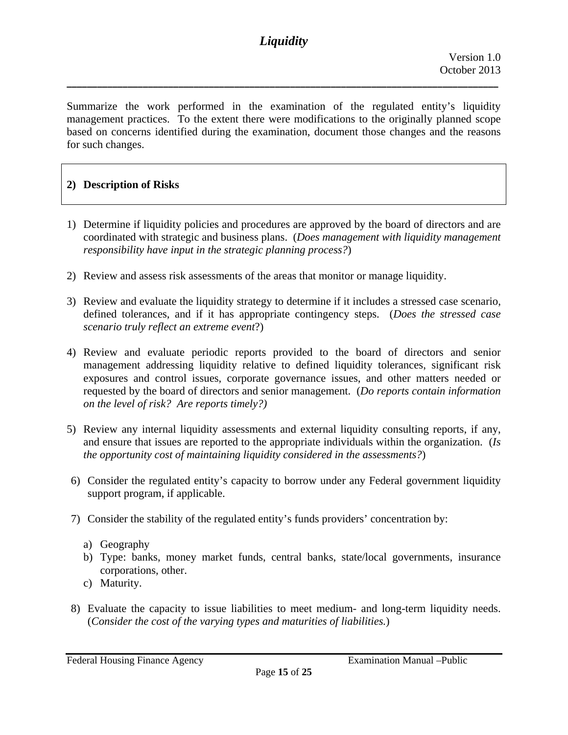**\_\_\_\_\_\_\_\_\_\_\_\_\_\_\_\_\_\_\_\_\_\_\_\_\_\_\_\_\_\_\_\_\_\_\_\_\_\_\_\_\_\_\_\_\_\_\_\_\_\_\_\_\_\_\_\_\_\_\_\_\_\_\_\_\_\_\_\_\_\_\_\_\_\_\_\_\_\_\_\_\_\_\_\_\_**

Summarize the work performed in the examination of the regulated entity's liquidity management practices. To the extent there were modifications to the originally planned scope based on concerns identified during the examination, document those changes and the reasons for such changes.

### **2) Description of Risks**

- 1) Determine if liquidity policies and procedures are approved by the board of directors and are coordinated with strategic and business plans. (*Does management with liquidity management responsibility have input in the strategic planning process?*)
- 2) Review and assess risk assessments of the areas that monitor or manage liquidity.
- 3) Review and evaluate the liquidity strategy to determine if it includes a stressed case scenario, defined tolerances, and if it has appropriate contingency steps. (*Does the stressed case scenario truly reflect an extreme event*?)
- 4) Review and evaluate periodic reports provided to the board of directors and senior management addressing liquidity relative to defined liquidity tolerances, significant risk exposures and control issues, corporate governance issues, and other matters needed or requested by the board of directors and senior management. (*Do reports contain information on the level of risk? Are reports timely?)*
- 5) Review any internal liquidity assessments and external liquidity consulting reports, if any, and ensure that issues are reported to the appropriate individuals within the organization. (*Is the opportunity cost of maintaining liquidity considered in the assessments?*)
- 6) Consider the regulated entity's capacity to borrow under any Federal government liquidity support program, if applicable.
- 7) Consider the stability of the regulated entity's funds providers' concentration by:
	- a) Geography
	- b) Type: banks, money market funds, central banks, state/local governments, insurance corporations, other.
	- c) Maturity.
- 8) Evaluate the capacity to issue liabilities to meet medium- and long-term liquidity needs. (*Consider the cost of the varying types and maturities of liabilities.*)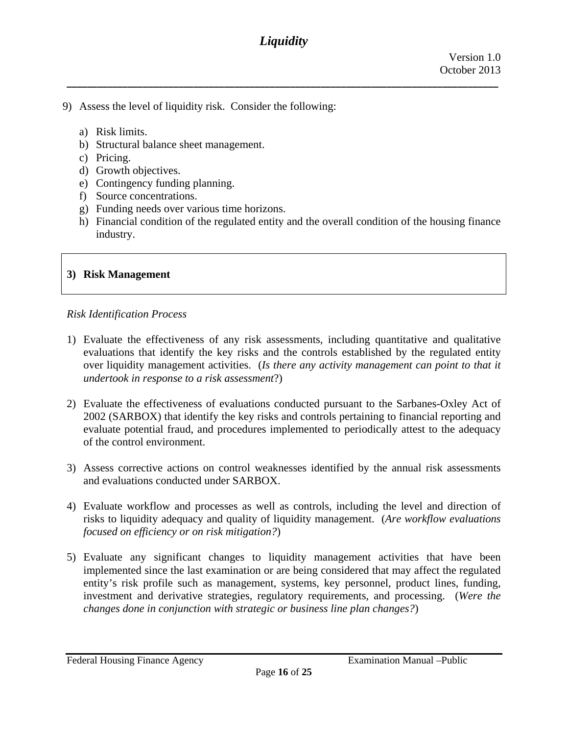**\_\_\_\_\_\_\_\_\_\_\_\_\_\_\_\_\_\_\_\_\_\_\_\_\_\_\_\_\_\_\_\_\_\_\_\_\_\_\_\_\_\_\_\_\_\_\_\_\_\_\_\_\_\_\_\_\_\_\_\_\_\_\_\_\_\_\_\_\_\_\_\_\_\_\_\_\_\_\_\_\_\_\_\_\_**

- 9) Assess the level of liquidity risk. Consider the following:
	- a) Risk limits.
	- b) Structural balance sheet management.
	- c) Pricing.
	- d) Growth objectives.
	- e) Contingency funding planning.
	- f) Source concentrations.
	- g) Funding needs over various time horizons.
	- h) Financial condition of the regulated entity and the overall condition of the housing finance industry.

### **3) Risk Management**

#### *Risk Identification Process*

- 1) Evaluate the effectiveness of any risk assessments, including quantitative and qualitative evaluations that identify the key risks and the controls established by the regulated entity over liquidity management activities. (*Is there any activity management can point to that it undertook in response to a risk assessment*?)
- 2) Evaluate the effectiveness of evaluations conducted pursuant to the Sarbanes-Oxley Act of 2002 (SARBOX) that identify the key risks and controls pertaining to financial reporting and evaluate potential fraud, and procedures implemented to periodically attest to the adequacy of the control environment.
- 3) Assess corrective actions on control weaknesses identified by the annual risk assessments and evaluations conducted under SARBOX.
- 4) Evaluate workflow and processes as well as controls, including the level and direction of risks to liquidity adequacy and quality of liquidity management. (*Are workflow evaluations focused on efficiency or on risk mitigation?*)
- 5) Evaluate any significant changes to liquidity management activities that have been implemented since the last examination or are being considered that may affect the regulated entity's risk profile such as management, systems, key personnel, product lines, funding, investment and derivative strategies, regulatory requirements, and processing. (*Were the changes done in conjunction with strategic or business line plan changes?*)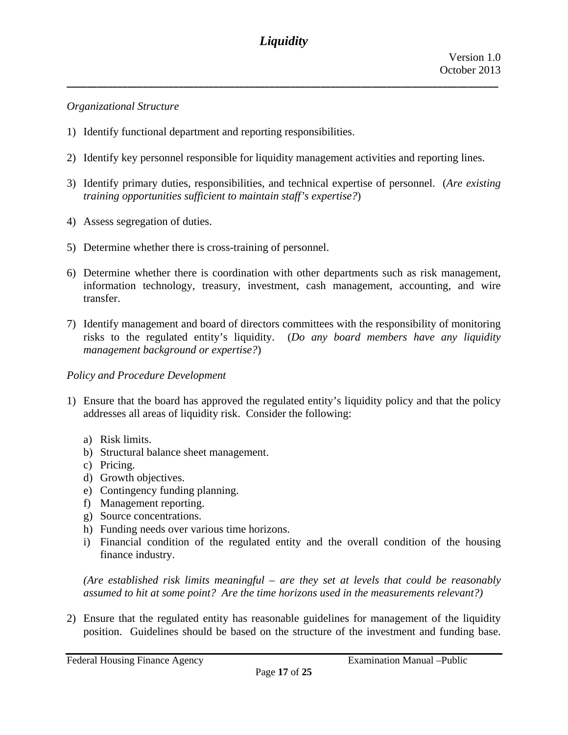**\_\_\_\_\_\_\_\_\_\_\_\_\_\_\_\_\_\_\_\_\_\_\_\_\_\_\_\_\_\_\_\_\_\_\_\_\_\_\_\_\_\_\_\_\_\_\_\_\_\_\_\_\_\_\_\_\_\_\_\_\_\_\_\_\_\_\_\_\_\_\_\_\_\_\_\_\_\_\_\_\_\_\_\_\_**

### *Organizational Structure*

- 1) Identify functional department and reporting responsibilities.
- 2) Identify key personnel responsible for liquidity management activities and reporting lines.
- 3) Identify primary duties, responsibilities, and technical expertise of personnel. (*Are existing training opportunities sufficient to maintain staff's expertise?*)
- 4) Assess segregation of duties.
- 5) Determine whether there is cross-training of personnel.
- 6) Determine whether there is coordination with other departments such as risk management, information technology, treasury, investment, cash management, accounting, and wire transfer.
- 7) Identify management and board of directors committees with the responsibility of monitoring risks to the regulated entity's liquidity. (*Do any board members have any liquidity management background or expertise?*)

# *Policy and Procedure Development*

- 1) Ensure that the board has approved the regulated entity's liquidity policy and that the policy addresses all areas of liquidity risk. Consider the following:
	- a) Risk limits.
	- b) Structural balance sheet management.
	- c) Pricing.
	- d) Growth objectives.
	- e) Contingency funding planning.
	- f) Management reporting.
	- g) Source concentrations.
	- h) Funding needs over various time horizons.
	- i) Financial condition of the regulated entity and the overall condition of the housing finance industry.

*(Are established risk limits meaningful – are they set at levels that could be reasonably assumed to hit at some point? Are the time horizons used in the measurements relevant?)* 

2) Ensure that the regulated entity has reasonable guidelines for management of the liquidity position. Guidelines should be based on the structure of the investment and funding base.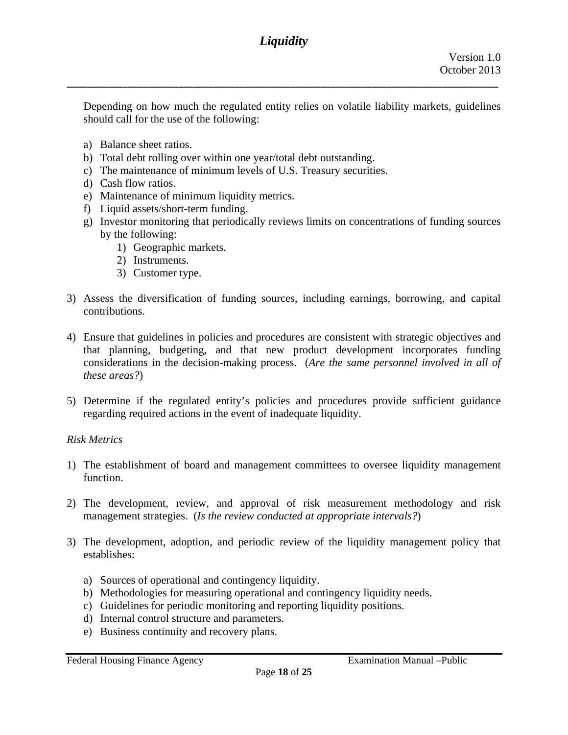Depending on how much the regulated entity relies on volatile liability markets, guidelines should call for the use of the following:

- a) Balance sheet ratios.
- b) Total debt rolling over within one year/total debt outstanding.
- c) The maintenance of minimum levels of U.S. Treasury securities.
- d) Cash flow ratios.
- e) Maintenance of minimum liquidity metrics.
- f) Liquid assets/short-term funding.
- g) Investor monitoring that periodically reviews limits on concentrations of funding sources by the following:
	- 1) Geographic markets.
	- 2) Instruments.
	- 3) Customer type.
- 3) Assess the diversification of funding sources, including earnings, borrowing, and capital contributions.
- 4) Ensure that guidelines in policies and procedures are consistent with strategic objectives and that planning, budgeting, and that new product development incorporates funding considerations in the decision-making process. (*Are the same personnel involved in all of these areas?*)
- 5) Determine if the regulated entity's policies and procedures provide sufficient guidance regarding required actions in the event of inadequate liquidity.

# *Risk Metrics*

- 1) The establishment of board and management committees to oversee liquidity management function.
- 2) The development, review, and approval of risk measurement methodology and risk management strategies. (*Is the review conducted at appropriate intervals?*)
- 3) The development, adoption, and periodic review of the liquidity management policy that establishes:
	- a) Sources of operational and contingency liquidity.
	- b) Methodologies for measuring operational and contingency liquidity needs.
	- c) Guidelines for periodic monitoring and reporting liquidity positions.
	- d) Internal control structure and parameters.
	- e) Business continuity and recovery plans.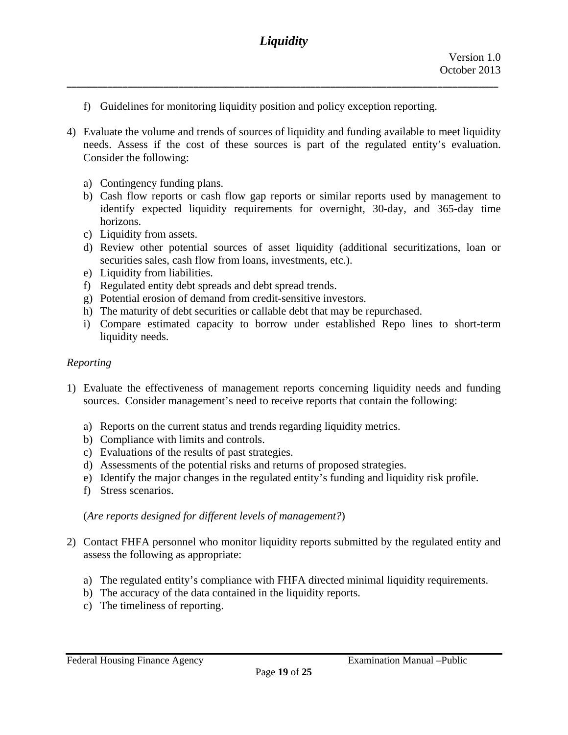- f) Guidelines for monitoring liquidity position and policy exception reporting.
- needs. Assess if the cost of these sources is part of the regulated entity's evaluation. Consider the following: 4) Evaluate the volume and trends of sources of liquidity and funding available to meet liquidity
	- a) Contingency funding plans.
	- b) Cash flow reports or cash flow gap reports or similar reports used by management to identify expected liquidity requirements for overnight, 30-day, and 365-day time horizons.
	- c) Liquidity from assets.
	- d) Review other potential sources of asset liquidity (additional securitizations, loan or securities sales, cash flow from loans, investments, etc.).
	- e) Liquidity from liabilities.
	- f) Regulated entity debt spreads and debt spread trends.
	- g) Potential erosion of demand from credit-sensitive investors.
	- h) The maturity of debt securities or callable debt that may be repurchased.
	- i) Compare estimated capacity to borrow under established Repo lines to short-term liquidity needs.

# *Reporting*

- 1) Evaluate the effectiveness of management reports concerning liquidity needs and funding sources. Consider management's need to receive reports that contain the following:
	- a) Reports on the current status and trends regarding liquidity metrics.
	- b) Compliance with limits and controls.
	- c) Evaluations of the results of past strategies.
	- d) Assessments of the potential risks and returns of proposed strategies.
	- e) Identify the major changes in the regulated entity's funding and liquidity risk profile.
	- f) Stress scenarios.

# (*Are reports designed for different levels of management?*)

- 2) Contact FHFA personnel who monitor liquidity reports submitted by the regulated entity and assess the following as appropriate:
	- a) The regulated entity's compliance with FHFA directed minimal liquidity requirements.
	- b) The accuracy of the data contained in the liquidity reports.
	- c) The timeliness of reporting.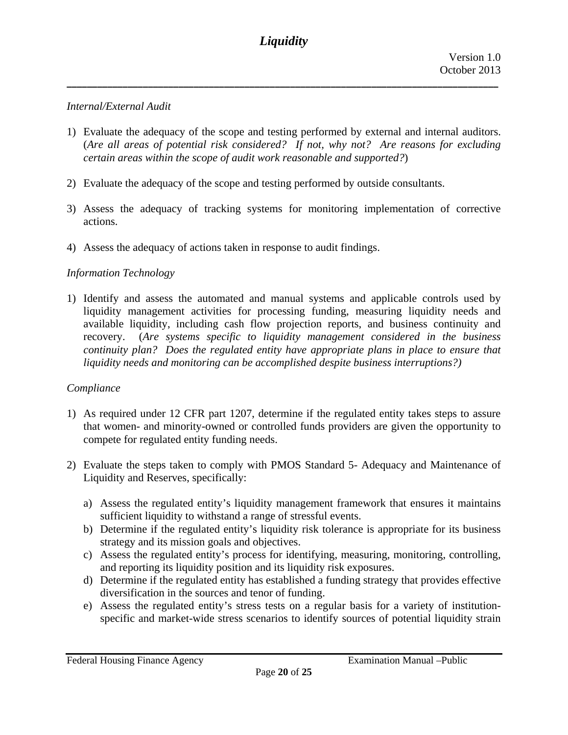**\_\_\_\_\_\_\_\_\_\_\_\_\_\_\_\_\_\_\_\_\_\_\_\_\_\_\_\_\_\_\_\_\_\_\_\_\_\_\_\_\_\_\_\_\_\_\_\_\_\_\_\_\_\_\_\_\_\_\_\_\_\_\_\_\_\_\_\_\_\_\_\_\_\_\_\_\_\_\_\_\_\_\_\_\_**

### *Internal/External Audit*

- 1) Evaluate the adequacy of the scope and testing performed by external and internal auditors. (*Are all areas of potential risk considered? If not, why not? Are reasons for excluding certain areas within the scope of audit work reasonable and supported?*)
- 2) Evaluate the adequacy of the scope and testing performed by outside consultants.
- 3) Assess the adequacy of tracking systems for monitoring implementation of corrective actions.
- 4) Assess the adequacy of actions taken in response to audit findings.

# *Information Technology*

1) Identify and assess the automated and manual systems and applicable controls used by liquidity management activities for processing funding, measuring liquidity needs and available liquidity, including cash flow projection reports, and business continuity and recovery. (*Are systems specific to liquidity management considered in the business continuity plan? Does the regulated entity have appropriate plans in place to ensure that liquidity needs and monitoring can be accomplished despite business interruptions?)* 

#### *Compliance*

- 1) As required under 12 CFR part 1207, determine if the regulated entity takes steps to assure that women- and minority-owned or controlled funds providers are given the opportunity to compete for regulated entity funding needs.
- 2) Evaluate the steps taken to comply with PMOS Standard 5- Adequacy and Maintenance of Liquidity and Reserves, specifically:
	- a) Assess the regulated entity's liquidity management framework that ensures it maintains sufficient liquidity to withstand a range of stressful events.
	- b) Determine if the regulated entity's liquidity risk tolerance is appropriate for its business strategy and its mission goals and objectives.
	- c) Assess the regulated entity's process for identifying, measuring, monitoring, controlling, and reporting its liquidity position and its liquidity risk exposures.
	- d) Determine if the regulated entity has established a funding strategy that provides effective diversification in the sources and tenor of funding.
	- e) Assess the regulated entity's stress tests on a regular basis for a variety of institutionspecific and market-wide stress scenarios to identify sources of potential liquidity strain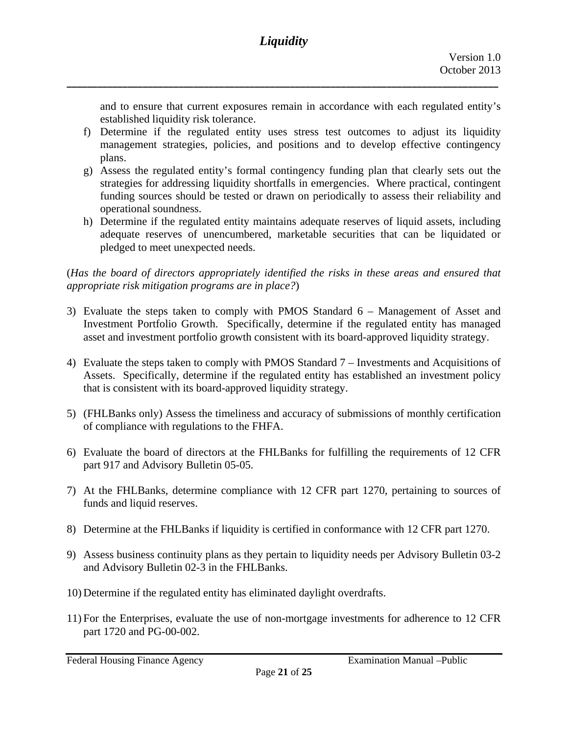and to ensure that current exposures remain in accordance with each regulated entity's established liquidity risk tolerance.

- f) Determine if the regulated entity uses stress test outcomes to adjust its liquidity management strategies, policies, and positions and to develop effective contingency plans.
- g) Assess the regulated entity's formal contingency funding plan that clearly sets out the strategies for addressing liquidity shortfalls in emergencies. Where practical, contingent funding sources should be tested or drawn on periodically to assess their reliability and operational soundness.
- h) Determine if the regulated entity maintains adequate reserves of liquid assets, including adequate reserves of unencumbered, marketable securities that can be liquidated or pledged to meet unexpected needs.

(*Has the board of directors appropriately identified the risks in these areas and ensured that appropriate risk mitigation programs are in place?*)

- 3) Evaluate the steps taken to comply with PMOS Standard  $6 -$  Management of Asset and Investment Portfolio Growth. Specifically, determine if the regulated entity has managed asset and investment portfolio growth consistent with its board-approved liquidity strategy.
- 4) Evaluate the steps taken to comply with PMOS Standard 7 Investments and Acquisitions of Assets. Specifically, determine if the regulated entity has established an investment policy that is consistent with its board-approved liquidity strategy.
- 5) (FHLBanks only) Assess the timeliness and accuracy of submissions of monthly certification of compliance with regulations to the FHFA.
- 6) Evaluate the board of directors at the FHLBanks for fulfilling the requirements of 12 CFR part 917 and Advisory Bulletin 05-05.
- 7) At the FHLBanks, determine compliance with 12 CFR part 1270, pertaining to sources of funds and liquid reserves.
- 8) Determine at the FHLBanks if liquidity is certified in conformance with 12 CFR part 1270.
- 9) Assess business continuity plans as they pertain to liquidity needs per Advisory Bulletin 03-2 and Advisory Bulletin 02-3 in the FHLBanks.
- 10) Determine if the regulated entity has eliminated daylight overdrafts.
- 11) For the Enterprises, evaluate the use of non-mortgage investments for adherence to 12 CFR part 1720 and PG-00-002.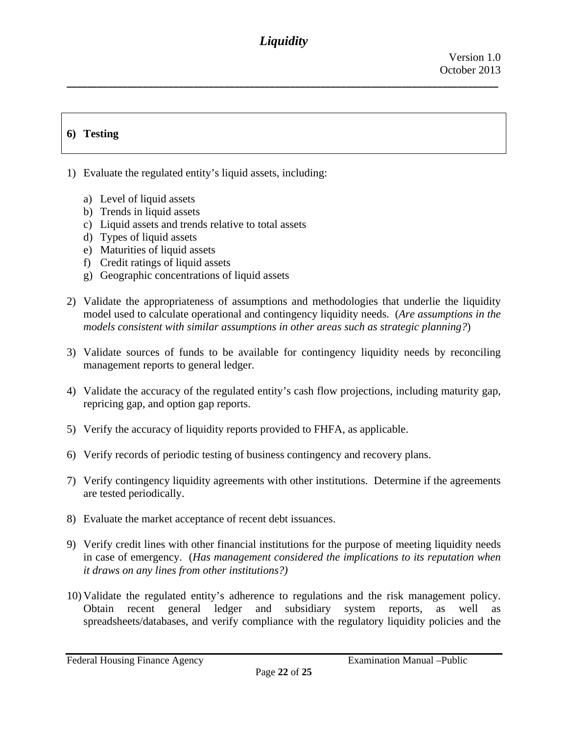**\_\_\_\_\_\_\_\_\_\_\_\_\_\_\_\_\_\_\_\_\_\_\_\_\_\_\_\_\_\_\_\_\_\_\_\_\_\_\_\_\_\_\_\_\_\_\_\_\_\_\_\_\_\_\_\_\_\_\_\_\_\_\_\_\_\_\_\_\_\_\_\_\_\_\_\_\_\_\_\_\_\_\_\_\_**

# **6) Testing**

- 1) Evaluate the regulated entity's liquid assets, including:
	- a) Level of liquid assets
	- b) Trends in liquid assets
	- c) Liquid assets and trends relative to total assets
	- d) Types of liquid assets
	- e) Maturities of liquid assets
	- f) Credit ratings of liquid assets
	- g) Geographic concentrations of liquid assets
- 2) Validate the appropriateness of assumptions and methodologies that underlie the liquidity model used to calculate operational and contingency liquidity needs. (*Are assumptions in the models consistent with similar assumptions in other areas such as strategic planning?*)
- 3) Validate sources of funds to be available for contingency liquidity needs by reconciling management reports to general ledger.
- 4) Validate the accuracy of the regulated entity's cash flow projections, including maturity gap, repricing gap, and option gap reports.
- 5) Verify the accuracy of liquidity reports provided to FHFA, as applicable.
- 6) Verify records of periodic testing of business contingency and recovery plans.
- 7) Verify contingency liquidity agreements with other institutions. Determine if the agreements are tested periodically.
- 8) Evaluate the market acceptance of recent debt issuances.
- 9) Verify credit lines with other financial institutions for the purpose of meeting liquidity needs in case of emergency. (*Has management considered the implications to its reputation when it draws on any lines from other institutions?)*
- 10) Validate the regulated entity's adherence to regulations and the risk management policy. Obtain recent general ledger and subsidiary system reports, as well as spreadsheets/databases, and verify compliance with the regulatory liquidity policies and the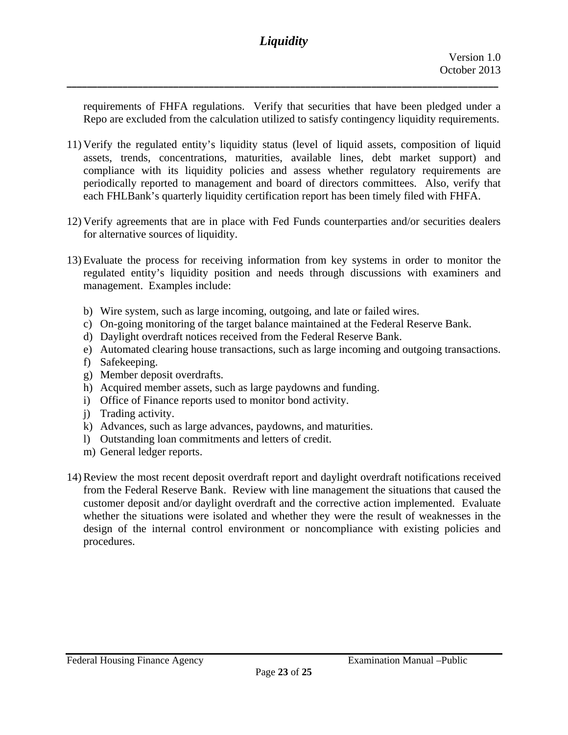requirements of FHFA regulations. Verify that securities that have been pledged under a Repo are excluded from the calculation utilized to satisfy contingency liquidity requirements.

- 11) Verify the regulated entity's liquidity status (level of liquid assets, composition of liquid assets, trends, concentrations, maturities, available lines, debt market support) and compliance with its liquidity policies and assess whether regulatory requirements are periodically reported to management and board of directors committees. Also, verify that each FHLBank's quarterly liquidity certification report has been timely filed with FHFA.
- 12) Verify agreements that are in place with Fed Funds counterparties and/or securities dealers for alternative sources of liquidity.
- 13) Evaluate the process for receiving information from key systems in order to monitor the regulated entity's liquidity position and needs through discussions with examiners and management. Examples include:
	- b) Wire system, such as large incoming, outgoing, and late or failed wires.
	- c) On-going monitoring of the target balance maintained at the Federal Reserve Bank.
	- d) Daylight overdraft notices received from the Federal Reserve Bank.
	- e) Automated clearing house transactions, such as large incoming and outgoing transactions.
	- f) Safekeeping.
	- g) Member deposit overdrafts.
	- h) Acquired member assets, such as large paydowns and funding.
	- i) Office of Finance reports used to monitor bond activity.
	- j) Trading activity.
	- k) Advances, such as large advances, paydowns, and maturities.
	- l) Outstanding loan commitments and letters of credit.
	- m) General ledger reports.
- 14) Review the most recent deposit overdraft report and daylight overdraft notifications received from the Federal Reserve Bank. Review with line management the situations that caused the customer deposit and/or daylight overdraft and the corrective action implemented. Evaluate whether the situations were isolated and whether they were the result of weaknesses in the design of the internal control environment or noncompliance with existing policies and procedures.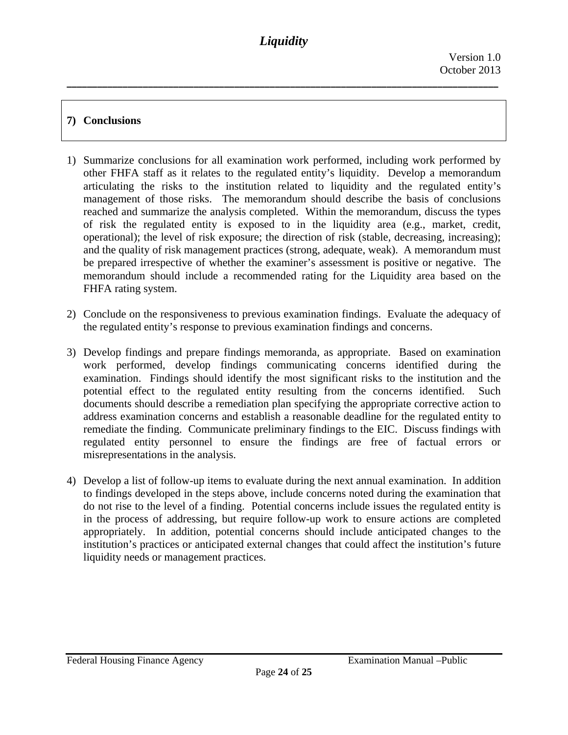**\_\_\_\_\_\_\_\_\_\_\_\_\_\_\_\_\_\_\_\_\_\_\_\_\_\_\_\_\_\_\_\_\_\_\_\_\_\_\_\_\_\_\_\_\_\_\_\_\_\_\_\_\_\_\_\_\_\_\_\_\_\_\_\_\_\_\_\_\_\_\_\_\_\_\_\_\_\_\_\_\_\_\_\_\_**

# **7) Conclusions**

- 1) Summarize conclusions for all examination work performed, including work performed by other FHFA staff as it relates to the regulated entity's liquidity. Develop a memorandum articulating the risks to the institution related to liquidity and the regulated entity's management of those risks. The memorandum should describe the basis of conclusions reached and summarize the analysis completed. Within the memorandum, discuss the types of risk the regulated entity is exposed to in the liquidity area (e.g., market, credit, operational); the level of risk exposure; the direction of risk (stable, decreasing, increasing); and the quality of risk management practices (strong, adequate, weak). A memorandum must be prepared irrespective of whether the examiner's assessment is positive or negative. The memorandum should include a recommended rating for the Liquidity area based on the FHFA rating system.
- 2) Conclude on the responsiveness to previous examination findings. Evaluate the adequacy of the regulated entity's response to previous examination findings and concerns.
- 3) Develop findings and prepare findings memoranda, as appropriate. Based on examination work performed, develop findings communicating concerns identified during the examination. Findings should identify the most significant risks to the institution and the potential effect to the regulated entity resulting from the concerns identified. Such documents should describe a remediation plan specifying the appropriate corrective action to address examination concerns and establish a reasonable deadline for the regulated entity to remediate the finding. Communicate preliminary findings to the EIC. Discuss findings with regulated entity personnel to ensure the findings are free of factual errors or misrepresentations in the analysis.
- 4) Develop a list of follow-up items to evaluate during the next annual examination. In addition to findings developed in the steps above, include concerns noted during the examination that do not rise to the level of a finding. Potential concerns include issues the regulated entity is in the process of addressing, but require follow-up work to ensure actions are completed appropriately. In addition, potential concerns should include anticipated changes to the institution's practices or anticipated external changes that could affect the institution's future liquidity needs or management practices.